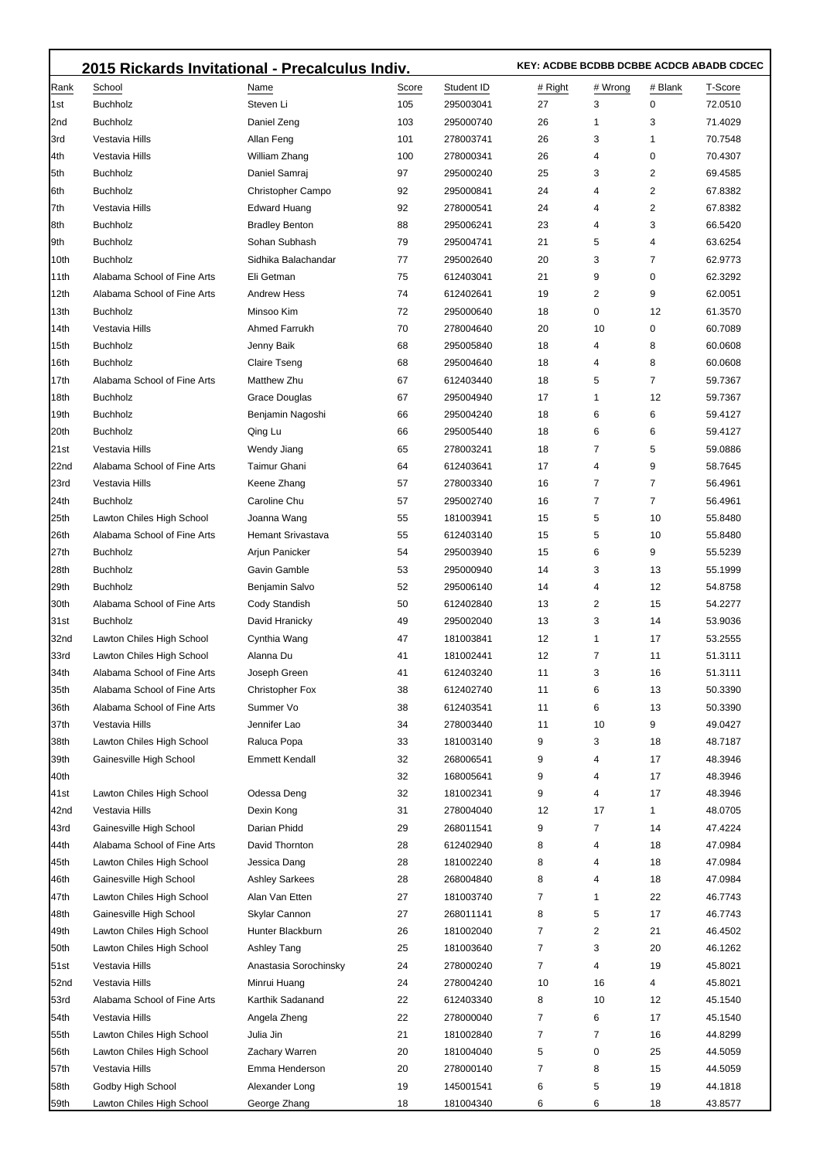|      | 2015 Rickards Invitational - Precalculus Indiv. |                        |       |            |         | KEY: ACDBE BCDBB DCBBE ACDCB ABADB CDCEC |                         |         |  |  |
|------|-------------------------------------------------|------------------------|-------|------------|---------|------------------------------------------|-------------------------|---------|--|--|
| Rank | School                                          | Name                   | Score | Student ID | # Right | # Wrong                                  | # Blank                 | T-Score |  |  |
| l1st | <b>Buchholz</b>                                 | Steven Li              | 105   | 295003041  | 27      | 3                                        | 0                       | 72.0510 |  |  |
| 2nd  | <b>Buchholz</b>                                 | Daniel Zeng            | 103   | 295000740  | 26      | 1                                        | 3                       | 71.4029 |  |  |
| 3rd  | Vestavia Hills                                  | Allan Feng             | 101   | 278003741  | 26      | 3                                        | 1                       | 70.7548 |  |  |
| 4th  | Vestavia Hills                                  | William Zhang          | 100   | 278000341  | 26      | 4                                        | 0                       | 70.4307 |  |  |
| 5th  | <b>Buchholz</b>                                 | Daniel Samraj          | 97    | 295000240  | 25      | 3                                        | $\overline{\mathbf{c}}$ | 69.4585 |  |  |
| 6th  | <b>Buchholz</b>                                 | Christopher Campo      | 92    | 295000841  | 24      | 4                                        | 2                       | 67.8382 |  |  |
| 7th  | Vestavia Hills                                  | <b>Edward Huang</b>    | 92    | 278000541  | 24      | 4                                        | 2                       | 67.8382 |  |  |
| 8th  | <b>Buchholz</b>                                 | <b>Bradley Benton</b>  | 88    | 295006241  | 23      | 4                                        | 3                       | 66.5420 |  |  |
| 9th  | <b>Buchholz</b>                                 | Sohan Subhash          | 79    | 295004741  | 21      | 5                                        | 4                       | 63.6254 |  |  |
| 10th | <b>Buchholz</b>                                 | Sidhika Balachandar    | 77    | 295002640  | 20      | 3                                        | 7                       | 62.9773 |  |  |
| 11th | Alabama School of Fine Arts                     | Eli Getman             | 75    | 612403041  | 21      | 9                                        | 0                       | 62.3292 |  |  |
| 12th | Alabama School of Fine Arts                     | <b>Andrew Hess</b>     | 74    | 612402641  | 19      | 2                                        | 9                       | 62.0051 |  |  |
| 13th | <b>Buchholz</b>                                 | Minsoo Kim             | 72    | 295000640  | 18      | 0                                        | 12                      | 61.3570 |  |  |
| 14th | Vestavia Hills                                  | Ahmed Farrukh          | 70    | 278004640  | 20      | 10                                       | 0                       | 60.7089 |  |  |
| 15th | <b>Buchholz</b>                                 | Jenny Baik             | 68    | 295005840  | 18      | 4                                        | 8                       | 60.0608 |  |  |
| 16th | <b>Buchholz</b>                                 | <b>Claire Tseng</b>    | 68    | 295004640  | 18      | 4                                        | 8                       | 60.0608 |  |  |
| 17th | Alabama School of Fine Arts                     | <b>Matthew Zhu</b>     | 67    | 612403440  | 18      | 5                                        | $\overline{7}$          | 59.7367 |  |  |
| 18th | <b>Buchholz</b>                                 | <b>Grace Douglas</b>   | 67    | 295004940  | 17      | 1                                        | 12                      | 59.7367 |  |  |
| 19th | <b>Buchholz</b>                                 | Benjamin Nagoshi       | 66    | 295004240  | 18      | 6                                        | 6                       | 59.4127 |  |  |
| 20th | <b>Buchholz</b>                                 | Qing Lu                | 66    | 295005440  | 18      | 6                                        | 6                       | 59.4127 |  |  |
| 21st | Vestavia Hills                                  | Wendy Jiang            | 65    | 278003241  | 18      | 7                                        | 5                       | 59.0886 |  |  |
| 22nd | Alabama School of Fine Arts                     | <b>Taimur Ghani</b>    | 64    | 612403641  | 17      | 4                                        | 9                       | 58.7645 |  |  |
| 23rd | Vestavia Hills                                  | Keene Zhang            | 57    | 278003340  | 16      | 7                                        | 7                       | 56.4961 |  |  |
| 24th | <b>Buchholz</b>                                 | Caroline Chu           | 57    | 295002740  | 16      | $\overline{7}$                           | $\overline{7}$          | 56.4961 |  |  |
| 25th | Lawton Chiles High School                       | Joanna Wang            | 55    | 181003941  | 15      | 5                                        | 10                      | 55.8480 |  |  |
| 26th | Alabama School of Fine Arts                     | Hemant Srivastava      | 55    | 612403140  | 15      | 5                                        | 10                      | 55.8480 |  |  |
| 27th | <b>Buchholz</b>                                 | Arjun Panicker         | 54    | 295003940  | 15      | 6                                        | 9                       | 55.5239 |  |  |
| 28th | <b>Buchholz</b>                                 | Gavin Gamble           | 53    | 295000940  | 14      | 3                                        | 13                      | 55.1999 |  |  |
| 29th | <b>Buchholz</b>                                 | Benjamin Salvo         | 52    | 295006140  | 14      | 4                                        | 12                      | 54.8758 |  |  |
| 30th | Alabama School of Fine Arts                     | Cody Standish          | 50    | 612402840  | 13      | 2                                        | 15                      | 54.2277 |  |  |
| 31st | Buchholz                                        | David Hranicky         | 49    | 295002040  | 13      | 3                                        | 14                      | 53.9036 |  |  |
| 32nd | Lawton Chiles High School                       | Cynthia Wang           | 47    | 181003841  | 12      | 1                                        | 17                      | 53.2555 |  |  |
| 33rd | Lawton Chiles High School                       | Alanna Du              | 41    | 181002441  | 12      | $\overline{7}$                           | 11                      | 51.3111 |  |  |
| 34th | Alabama School of Fine Arts                     | Joseph Green           | 41    | 612403240  | 11      | 3                                        | 16                      | 51.3111 |  |  |
| 35th | Alabama School of Fine Arts                     | <b>Christopher Fox</b> | 38    | 612402740  | 11      | 6                                        | 13                      | 50.3390 |  |  |
| 36th | Alabama School of Fine Arts                     | Summer Vo              | 38    | 612403541  | 11      | 6                                        | 13                      | 50.3390 |  |  |
| 37th | Vestavia Hills                                  | Jennifer Lao           | 34    | 278003440  | 11      | 10                                       | 9                       | 49.0427 |  |  |
| 38th | Lawton Chiles High School                       | Raluca Popa            | 33    | 181003140  | 9       | 3                                        | 18                      | 48.7187 |  |  |
| 39th | Gainesville High School                         | <b>Emmett Kendall</b>  | 32    | 268006541  | 9       | 4                                        | 17                      | 48.3946 |  |  |
| 40th |                                                 |                        | 32    | 168005641  | 9       | 4                                        | 17                      | 48.3946 |  |  |
| 41st | Lawton Chiles High School                       | Odessa Deng            | 32    | 181002341  | 9       | 4                                        | 17                      | 48.3946 |  |  |
| 42nd | Vestavia Hills                                  | Dexin Kong             | 31    | 278004040  | 12      | 17                                       | $\mathbf{1}$            | 48.0705 |  |  |
| 43rd | Gainesville High School                         | Darian Phidd           | 29    | 268011541  | 9       | 7                                        | 14                      | 47.4224 |  |  |
| 44th | Alabama School of Fine Arts                     | David Thornton         | 28    | 612402940  | 8       | 4                                        | 18                      | 47.0984 |  |  |
| 45th | Lawton Chiles High School                       | Jessica Dang           | 28    | 181002240  | 8       | 4                                        | 18                      | 47.0984 |  |  |
| 46th | Gainesville High School                         | <b>Ashley Sarkees</b>  | 28    | 268004840  | 8       | 4                                        | 18                      | 47.0984 |  |  |
| 47th | Lawton Chiles High School                       | Alan Van Etten         | 27    | 181003740  | 7       | 1                                        | 22                      | 46.7743 |  |  |
| 48th | Gainesville High School                         | Skylar Cannon          | 27    | 268011141  | 8       | 5                                        | 17                      | 46.7743 |  |  |
| 49th | Lawton Chiles High School                       | Hunter Blackburn       | 26    | 181002040  | 7       | 2                                        | 21                      | 46.4502 |  |  |
| 50th | Lawton Chiles High School                       | Ashley Tang            | 25    | 181003640  | 7       | 3                                        | 20                      | 46.1262 |  |  |
| 51st | Vestavia Hills                                  | Anastasia Sorochinsky  | 24    | 278000240  | 7       | 4                                        | 19                      | 45.8021 |  |  |
| 52nd | Vestavia Hills                                  | Minrui Huang           | 24    | 278004240  | 10      | 16                                       | 4                       | 45.8021 |  |  |
| 53rd | Alabama School of Fine Arts                     | Karthik Sadanand       | 22    | 612403340  | 8       | 10                                       | 12                      | 45.1540 |  |  |
| 54th | Vestavia Hills                                  | Angela Zheng           | 22    | 278000040  | 7       | 6                                        | 17                      | 45.1540 |  |  |
| 55th | Lawton Chiles High School                       | Julia Jin              | 21    | 181002840  | 7       | 7                                        | 16                      | 44.8299 |  |  |
| 56th | Lawton Chiles High School                       | Zachary Warren         | 20    | 181004040  | 5       | 0                                        | 25                      | 44.5059 |  |  |
| 57th | Vestavia Hills                                  | Emma Henderson         | 20    | 278000140  | 7       | 8                                        | 15                      | 44.5059 |  |  |
| 58th | Godby High School                               | Alexander Long         | 19    | 145001541  | 6       | 5                                        | 19                      | 44.1818 |  |  |
| 59th | Lawton Chiles High School                       | George Zhang           | 18    | 181004340  | 6       | 6                                        | 18                      | 43.8577 |  |  |